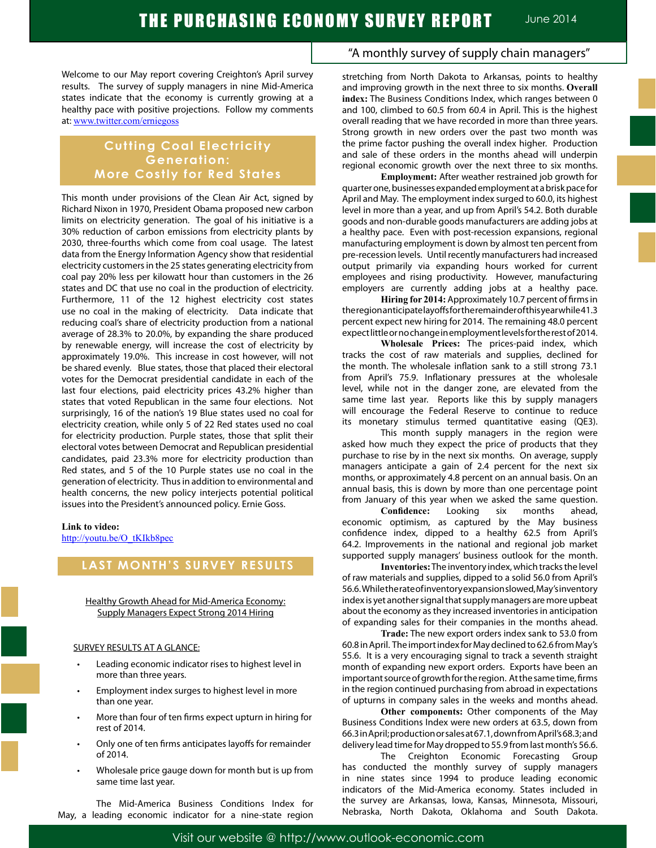Welcome to our May report covering Creighton's April survey results. The survey of supply managers in nine Mid-America states indicate that the economy is currently growing at a healthy pace with positive projections. Follow my comments at: www.twitter.com/erniegoss

## **Cutting Coal Electricity Generation: More Costly for Red States**

This month under provisions of the Clean Air Act, signed by Richard Nixon in 1970, President Obama proposed new carbon limits on electricity generation. The goal of his initiative is a 30% reduction of carbon emissions from electricity plants by 2030, three-fourths which come from coal usage. The latest data from the Energy Information Agency show that residential electricity customers in the 25 states generating electricity from coal pay 20% less per kilowatt hour than customers in the 26 states and DC that use no coal in the production of electricity. Furthermore, 11 of the 12 highest electricity cost states use no coal in the making of electricity. Data indicate that reducing coal's share of electricity production from a national average of 28.3% to 20.0%, by expanding the share produced by renewable energy, will increase the cost of electricity by approximately 19.0%. This increase in cost however, will not be shared evenly. Blue states, those that placed their electoral votes for the Democrat presidential candidate in each of the last four elections, paid electricity prices 43.2% higher than states that voted Republican in the same four elections. Not surprisingly, 16 of the nation's 19 Blue states used no coal for electricity creation, while only 5 of 22 Red states used no coal for electricity production. Purple states, those that split their electoral votes between Democrat and Republican presidential candidates, paid 23.3% more for electricity production than Red states, and 5 of the 10 Purple states use no coal in the generation of electricity. Thus in addition to environmental and health concerns, the new policy interjects potential political issues into the President's announced policy. Ernie Goss.

#### **Link to video:**

http://youtu.be/O\_tKIkb8pec

## **LAST MONTH'S SURVEY RESULTS**

#### Healthy Growth Ahead for Mid-America Economy: Supply Managers Expect Strong 2014 Hiring

#### SURVEY RESULTS AT A GLANCE:

- Leading economic indicator rises to highest level in more than three years.
- Employment index surges to highest level in more than one year.
- More than four of ten firms expect upturn in hiring for rest of 2014.
- Only one of ten firms anticipates layoffs for remainder of 2014.
- Wholesale price gauge down for month but is up from same time last year.

The Mid-America Business Conditions Index for May, a leading economic indicator for a nine-state region

## "A monthly survey of supply chain managers"

stretching from North Dakota to Arkansas, points to healthy and improving growth in the next three to six months. **Overall index:** The Business Conditions Index, which ranges between 0 and 100, climbed to 60.5 from 60.4 in April. This is the highest overall reading that we have recorded in more than three years. Strong growth in new orders over the past two month was the prime factor pushing the overall index higher. Production and sale of these orders in the months ahead will underpin regional economic growth over the next three to six months.

**Employment:** After weather restrained job growth for quarter one, businesses expanded employment at a brisk pace for April and May. The employment index surged to 60.0, its highest level in more than a year, and up from April's 54.2. Both durable goods and non-durable goods manufacturers are adding jobs at a healthy pace. Even with post-recession expansions, regional manufacturing employment is down by almost ten percent from pre-recession levels. Until recently manufacturers had increased output primarily via expanding hours worked for current employees and rising productivity. However, manufacturing employers are currently adding jobs at a healthy pace.

**Hiring for 2014:**Approximately 10.7 percent of firmsin theregionanticipatelayoffsfortheremainderofthisyearwhile41.3 percent expect new hiring for 2014. The remaining 48.0 percent expect little or no change in employment levels for the rest of 2014.

**Wholesale Prices:** The prices-paid index, which tracks the cost of raw materials and supplies, declined for the month. The wholesale inflation sank to a still strong 73.1 from April's 75.9. Inflationary pressures at the wholesale level, while not in the danger zone, are elevated from the same time last year. Reports like this by supply managers will encourage the Federal Reserve to continue to reduce its monetary stimulus termed quantitative easing (QE3).

This month supply managers in the region were asked how much they expect the price of products that they purchase to rise by in the next six months. On average, supply managers anticipate a gain of 2.4 percent for the next six months, or approximately 4.8 percent on an annual basis. On an annual basis, this is down by more than one percentage point from January of this year when we asked the same question.

**Confidence:** Looking six months ahead, economic optimism, as captured by the May business confidence index, dipped to a healthy 62.5 from April's 64.2. Improvements in the national and regional job market supported supply managers' business outlook for the month.

**Inventories:** The inventory index, which tracks the level of raw materials and supplies, dipped to a solid 56.0 from April's 56.6. While the rate of inventory expansion slowed, May's inventory index is yet another signal that supply managers are more upbeat about the economy as they increased inventories in anticipation of expanding sales for their companies in the months ahead.

**Trade:** The new export orders index sank to 53.0 from 60.8 in April. The import index for May declined to 62.6 from May's 55.6. It is a very encouraging signal to track a seventh straight month of expanding new export orders. Exports have been an important source of growth for the region. At the same time, firms in the region continued purchasing from abroad in expectations of upturns in company sales in the weeks and months ahead.

**Other components:** Other components of the May Business Conditions Index were new orders at 63.5, down from 66.3 in April; production or sales at 67.1, down from April's 68.3; and delivery lead time for May dropped to 55.9 from last month's 56.6.

The Creighton Economic Forecasting Group has conducted the monthly survey of supply managers in nine states since 1994 to produce leading economic indicators of the Mid-America economy. States included in the survey are Arkansas, Iowa, Kansas, Minnesota, Missouri, Nebraska, North Dakota, Oklahoma and South Dakota.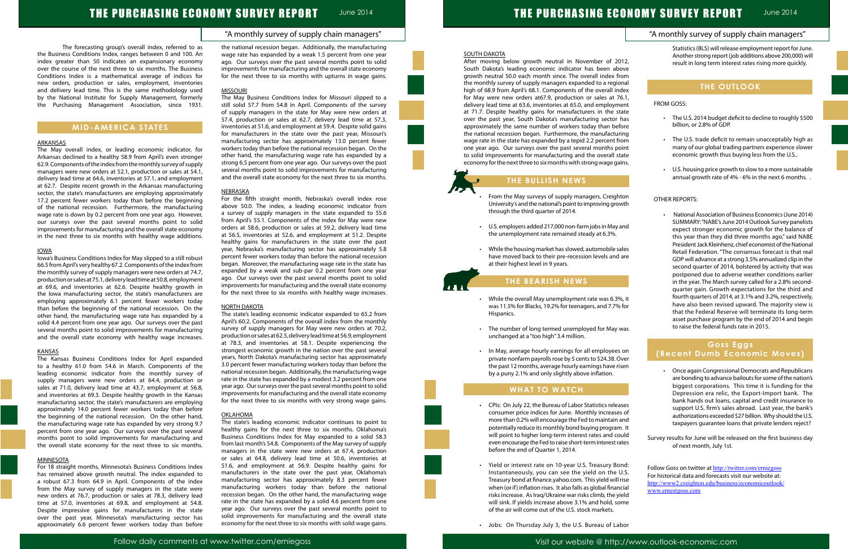## "A monthly survey of supply chain managers"

## "A monthly survey of supply chain managers"

# THE PURCHASING ECONOMY SURVEY REPORT June 2014

The forecasting group's overall index, referred to as the Business Conditions Index, ranges between 0 and 100. An index greater than 50 indicates an expansionary economy over the course of the next three to six months. The Business Conditions Index is a mathematical average of indices for new orders, production or sales, employment, inventories and delivery lead time. This is the same methodology used by the National Institute for Supply Management, formerly the Purchasing Management Association, since 1931.

### **MID-AMERICA STATES**

#### ARKANSAS

The May overall index, or leading economic indicator, for Arkansas declined to a healthy 58.9 from April's even stronger 62.9. Components of the index from the monthly survey of supply managers were new orders at 52.1, production or sales at 54.1, delivery lead time at 64.6, inventories at 57.1, and employment at 62.7. Despite recent growth in the Arkansas manufacturing sector, the state's manufacturers are employing approximately 17.2 percent fewer workers today than before the beginning of the national recession. Furthermore, the manufacturing wage rate is down by 0.2 percent from one year ago. However, our surveys over the past several months point to solid improvements for manufacturing and the overall state economy in the next three to six months with healthy wage additions.

#### IOWA

Iowa's Business Conditions Index for May slipped to a still robust 66.5 from April's very healthy 67.2. Components of the index from the monthly survey of supply managers were new orders at 74.7, production or sales at 75.1, delivery lead time at 50.8, employment at 69.6, and inventories at 62.6. Despite healthy growth in the Iowa manufacturing sector, the state's manufacturers are employing approximately 6.1 percent fewer workers today than before the beginning of the national recession. On the other hand, the manufacturing wage rate has expanded by a solid 4.4 percent from one year ago. Our surveys over the past several months point to solid improvements for manufacturing and the overall state economy with healthy wage increases.

#### KANSAS

The Kansas Business Conditions Index for April expanded to a healthy 61.0 from 54.6 in March. Components of the leading economic indicator from the monthly survey of supply managers were new orders at 64.4, production or sales at 71.0, delivery lead time at 43.7, employment at 56.8, and inventories at 69.3. Despite healthy growth in the Kansas manufacturing sector, the state's manufacturers are employing approximately 14.0 percent fewer workers today than before the beginning of the national recession. On the other hand, the manufacturing wage rate has expanded by very strong 9.7 percent from one year ago. Our surveys over the past several months point to solid improvements for manufacturing and the overall state economy for the next three to six months.

#### **MINNESOTA**

For 18 straight months, Minnesota's Business Conditions Index has remained above growth neutral. The index expanded to a robust 67.3 from 64.9 in April. Components of the index from the May survey of supply managers in the state were new orders at 76.7, production or sales at 78.3, delivery lead time at 57.0, inventories at 69.8, and employment at 54.8. Despite impressive gains for manufacturers in the state over the past year, Minnesota's manufacturing sector has approximately 6.6 percent fewer workers today than before the national recession began. Additionally, the manufacturing wage rate has expanded by a weak 1.5 percent from one year ago. Our surveys over the past several months point to solid improvements for manufacturing and the overall state economy for the next three to six months with upturns in wage gains.

#### **MISSOURI**

- From the May surveys of supply managers, Creighton University's and the national's point to improving growth through the third quarter of 2014.
- U.S. employers added 217,000 non-farm jobs in May and the unemployment rate remained steady at 6.3%.
- While the housing market has slowed, automobile sales have moved back to their pre-recession levels and are at their highest level in 9 years.

The May Business Conditions Index for Missouri slipped to a still solid 57.7 from 54.8 in April. Components of the survey of supply managers in the state for May were new orders at 57.4, production or sales at 62.7, delivery lead time at 57.3, inventories at 51.6, and employment at 59.4. Despite solid gains for manufacturers in the state over the past year, Missouri's manufacturing sector has approximately 13.0 percent fewer workers today than before the national recession began. On the other hand, the manufacturing wage rate has expanded by a strong 6.5 percent from one year ago. Our surveys over the past several months point to solid improvements for manufacturing and the overall state economy for the next three to six months.

#### NEBRASKA

- CPIs: On July 22, the Bureau of Labor Statistics releases consumer price indices for June. Monthly increases of more than 0.2% will encourage the Fed to maintain and potentially reduce its monthly bond buying program. It will point to higher long-term interest rates and could even encourage the Fed to raise short-term interest rates before the end of Quarter 1, 2014.
- • Yield or interest rate on 10-year U.S. Treasury Bond: Instantaneously, you can see the yield on the U.S. Treasury bond at finance.yahoo.com. This yield will rise when (or if) inflation rises. It also falls as global financial risks increase. As Iraq/Ukraine war risks climb, the yield will sink. If yields increase above 3.1% and hold, some of the air will come out of the U.S. stock markets. Follow Goss on twitter at http://twitter.com/erniegoss For historical data and forecasts visit our website at: http://www2.creighton.edu/business/economicoutlook/ www.ernestgoss.com
- • Jobs: On Thursday July 3, the U.S. Bureau of Labor

For the fifth straight month, Nebraska's overall index rose above 50.0. The index, a leading economic indicator from a survey of supply managers in the state expanded to 55.6 from April's 55.1. Components of the index for May were new orders at 58.6, production or sales at 59.2, delivery lead time at 56.5, inventories at 52.6, and employment at 51.2. Despite healthy gains for manufacturers in the state over the past year, Nebraska's manufacturing sector has approximately 5.8 percent fewer workers today than before the national recession began. Moreover, the manufacturing wage rate in the state has expanded by a weak and sub-par 0.2 percent from one year ago. Our surveys over the past several months point to solid improvements for manufacturing and the overall state economy for the next three to six months with healthy wage increases.

#### NORTH DAKOTA

• National Association of Business Economics (June 2014) SUMMARY: "NABE's June 2014 Outlook Survey panelists expect stronger economic growth for the balance of this year than they did three months ago," said NABE President Jack Kleinhenz, chief economist of the National Retail Federation. "The consensus forecast is that real GDP will advance at a strong 3.5% annualized clip in the second quarter of 2014, bolstered by activity that was postponed due to adverse weather conditions earlier in the year. The March survey called for a 2.8% secondquarter gain. Growth expectations for the third and fourth quarters of 2014, at 3.1% and 3.2%, respectively, have also been revised upward. The majority view is that the Federal Reserve will terminate its long-term asset purchase program by the end of 2014 and begin to raise the federal funds rate in 2015.

- Once again Congressional Democrats and Republicans are bonding to advance bailouts for some of the nation's biggest corporations. This time it is funding for the Depression era relic, the Export-Import bank. The bank hands out loans, capital and credit insurance to support U.S. firm's sales abroad. Last year, the bank's authorizations exceeded \$27 billion. Why should the U.S. taxpayers guarantee loans that private lenders reject?
- Survey results for June will be released on the first business day of next month, July 1st.

The state's leading economic indicator expanded to 65.2 from April's 60.2. Components of the overall index from the monthly survey of supply managers for May were new orders at 70.2, production or sales at 62.5, delivery lead time at 56.9, employment at 78.3, and inventories at 58.1. Despite experiencing the strongest economic growth in the nation over the past several years, North Dakota's manufacturing sector has approximately 3.0 percent fewer manufacturing workers today than before the national recession began. Additionally, the manufacturing wage rate in the state has expanded by a modest 3.2 percent from one year ago. Our surveys over the past several months point to solid improvements for manufacturing and the overall state economy for the next three to six months with very strong wage gains.

#### OKLAHOMA

The state's leading economic indicator continues to point to healthy gains for the next three to six months. Oklahoma's Business Conditions Index for May expanded to a solid 58.3 from last month's 54.8. Components of the May survey of supply managers in the state were new orders at 67.4, production or sales at 64.8, delivery lead time at 50.6, inventories at 51.6, and employment at 56.9. Despite healthy gains for manufacturers in the state over the past year, Oklahoma's manufacturing sector has approximately 8.3 percent fewer manufacturing workers today than before the national recession began. On the other hand, the manufacturing wage rate in the state has expanded by a solid 4.6 percent from one year ago. Our surveys over the past several months point to solid improvements for manufacturing and the overall state economy for the next three to six months with solid wage gains.



After moving below growth neutral in November of 2012, South Dakota's leading economic indicator has been above growth neutral 50.0 each month since. The overall index from the monthly survey of supply managers expanded to a regional high of 68.9 from April's 68.1. Components of the overall index for May were new orders at67.9, production or sales at 76.1, delivery lead time at 63.6, inventories at 65.0, and employment at 71.7. Despite healthy gains for manufacturers in the state over the past year, South Dakota's manufacturing sector has approximately the same number of workers today than before the national recession began. Furthermore, the manufacturing wage rate in the state has expanded by a tepid 2.2 percent from one year ago. Our surveys over the past several months point to solid improvements for manufacturing and the overall state economy for the next three to six months with strong wage gains.

## **THE BULLISH NEWS**

## **THE BEARISH NEWS**

- • While the overall May unemployment rate was 6.3%, it was 11.5% for Blacks, 19.2% for teenagers, and 7.7% for Hispanics.
- The number of long termed unemployed for May was unchanged at a "too high" 3.4 million.
- • In May, average hourly earnings for all employees on private nonfarm payrolls rose by 5 cents to \$24.38. Over the past 12 months, average hourly earnings have risen by a puny 2.1% and only slightly above inflation.

## **WHAT TO WATCH**

Ï

Statistics (BLS) will release employment report for June. Another strong report (job additions above 200,000) will result in long term interest rates rising more quickly.

## **THE OUTLOOK**

#### FROM GOSS:

- • The U.S. 2014 budget deficit to decline to roughly \$500 billion, or 2.8% of GDP.
- The U.S. trade deficit to remain unacceptably high as many of our global trading partners experience slower economic growth thus buying less from the U.S..
- • U.S. housing price growth to slow to a more sustainable annual growth rate of 4% - 6% in the next 6 months. .

#### OTHER REPORTS:

## **Goss Eggs (Recent Dumb Economic Moves)**